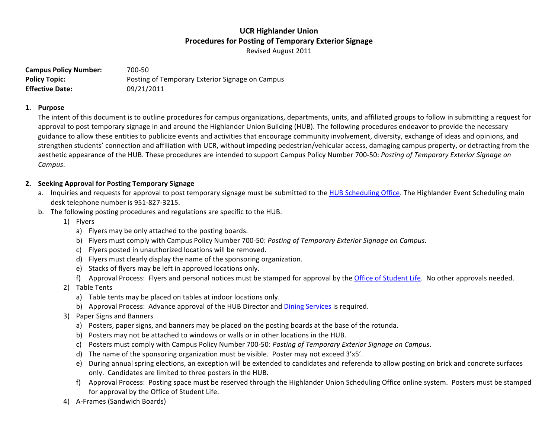Revised August 2011

**Campus Policy Number:** 700-50 **Policy Topic:** Posting of Temporary Exterior Signage on Campus **Effective Date:** 09/21/2011

#### **1. Purpose**

The intent of this document is to outline procedures for campus organizations, departments, units, and affiliated groups to follow in submitting a request for approval to post temporary signage in and around the Highlander Union Building (HUB). The following procedures endeavor to provide the necessary guidance to allow these entities to publicize events and activities that encourage community involvement, diversity, exchange of ideas and opinions, and strengthen students' connection and affiliation with UCR, without impeding pedestrian/vehicular access, damaging campus property, or detracting from the aesthetic appearance of the HUB. These procedures are intended to support Campus Policy Number 700-50: Posting of Temporary Exterior Signage on *Campus*.

### **2. Seeking Approval for Posting Temporary Signage**

- a. Inquiries and requests for approval to post temporary signage must be submitted to the HUB Scheduling Office. The Highlander Event Scheduling main desk telephone number is 951-827-3215.
- b. The following posting procedures and regulations are specific to the HUB.
	- 1) Flyers
		- a) Flyers may be only attached to the posting boards.
		- b) Flyers must comply with Campus Policy Number 700-50: Posting of Temporary Exterior Signage on Campus.
		- c) Flyers posted in unauthorized locations will be removed.
		- d) Flyers must clearly display the name of the sponsoring organization.
		- e) Stacks of flyers may be left in approved locations only.
		- f) Approval Process: Flyers and personal notices must be stamped for approval by the Office of Student Life. No other approvals needed.
	- 2) Table Tents
		- a) Table tents may be placed on tables at indoor locations only.
		- b) Approval Process: Advance approval of the HUB Director and Dining Services is required.
	- 3) Paper Signs and Banners
		- a) Posters, paper signs, and banners may be placed on the posting boards at the base of the rotunda.
		- b) Posters may not be attached to windows or walls or in other locations in the HUB.
		- c) Posters must comply with Campus Policy Number 700-50: *Posting of Temporary Exterior Signage on Campus.*
		- d) The name of the sponsoring organization must be visible. Poster may not exceed 3'x5'.
		- e) During annual spring elections, an exception will be extended to candidates and referenda to allow posting on brick and concrete surfaces only. Candidates are limited to three posters in the HUB.
		- f) Approval Process: Posting space must be reserved through the Highlander Union Scheduling Office online system. Posters must be stamped for approval by the Office of Student Life.
	- 4) A-Frames (Sandwich Boards)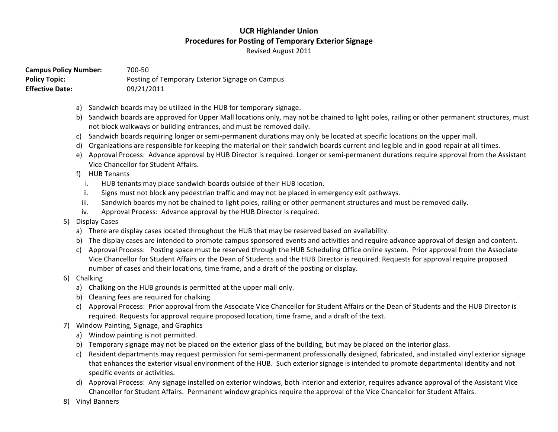Revised August 2011

**Campus Policy Number:** 700-50 Policy Topic: Posting of Temporary Exterior Signage on Campus **Effective Date:** 09/21/2011

- a) Sandwich boards may be utilized in the HUB for temporary signage.
- b) Sandwich boards are approved for Upper Mall locations only, may not be chained to light poles, railing or other permanent structures, must not block walkways or building entrances, and must be removed daily.
- c) Sandwich boards requiring longer or semi-permanent durations may only be located at specific locations on the upper mall.
- d) Organizations are responsible for keeping the material on their sandwich boards current and legible and in good repair at all times.
- e) Approval Process: Advance approval by HUB Director is required. Longer or semi-permanent durations require approval from the Assistant Vice Chancellor for Student Affairs.
- f) HUB Tenants
	- i. HUB tenants may place sandwich boards outside of their HUB location.
	- ii. Signs must not block any pedestrian traffic and may not be placed in emergency exit pathways.
	- iii. Sandwich boards my not be chained to light poles, railing or other permanent structures and must be removed daily.
	- iv. Approval Process: Advance approval by the HUB Director is required.
- 5) Display Cases
	- a) There are display cases located throughout the HUB that may be reserved based on availability.
	- b) The display cases are intended to promote campus sponsored events and activities and require advance approval of design and content.
	- c) Approval Process: Posting space must be reserved through the HUB Scheduling Office online system. Prior approval from the Associate Vice Chancellor for Student Affairs or the Dean of Students and the HUB Director is required. Requests for approval require proposed number of cases and their locations, time frame, and a draft of the posting or display.
- 6) Chalking
	- a) Chalking on the HUB grounds is permitted at the upper mall only.
	- b) Cleaning fees are required for chalking.
	- c) Approval Process: Prior approval from the Associate Vice Chancellor for Student Affairs or the Dean of Students and the HUB Director is required. Requests for approval require proposed location, time frame, and a draft of the text.
- 7) Window Painting, Signage, and Graphics
	- a) Window painting is not permitted.
	- b) Temporary signage may not be placed on the exterior glass of the building, but may be placed on the interior glass.
	- c) Resident departments may request permission for semi-permanent professionally designed, fabricated, and installed vinyl exterior signage that enhances the exterior visual environment of the HUB. Such exterior signage is intended to promote departmental identity and not specific events or activities.
	- d) Approval Process: Any signage installed on exterior windows, both interior and exterior, requires advance approval of the Assistant Vice Chancellor for Student Affairs. Permanent window graphics require the approval of the Vice Chancellor for Student Affairs.
- 8) Vinyl Banners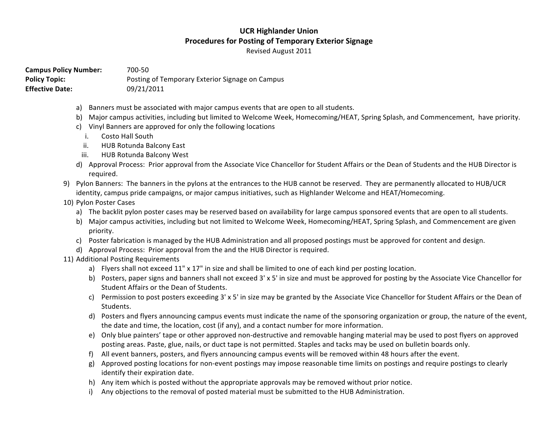Revised August 2011

**Campus Policy Number:** 700-50 **Policy Topic:** Posting of Temporary Exterior Signage on Campus **Effective Date:** 09/21/2011

- a) Banners must be associated with major campus events that are open to all students.
- b) Major campus activities, including but limited to Welcome Week, Homecoming/HEAT, Spring Splash, and Commencement, have priority.
- c) Vinyl Banners are approved for only the following locations
	- i. Costo Hall South
	- ii. HUB Rotunda Balcony East
	- iii. HUB Rotunda Balcony West
- d) Approval Process: Prior approval from the Associate Vice Chancellor for Student Affairs or the Dean of Students and the HUB Director is required.
- 9) Pylon Banners: The banners in the pylons at the entrances to the HUB cannot be reserved. They are permanently allocated to HUB/UCR identity, campus pride campaigns, or major campus initiatives, such as Highlander Welcome and HEAT/Homecoming.
- 10) Pylon Poster Cases
	- a) The backlit pylon poster cases may be reserved based on availability for large campus sponsored events that are open to all students.
	- b) Major campus activities, including but not limited to Welcome Week, Homecoming/HEAT, Spring Splash, and Commencement are given priority.
	- c) Poster fabrication is managed by the HUB Administration and all proposed postings must be approved for content and design.
	- d) Approval Process: Prior approval from the and the HUB Director is required.
- 11) Additional Posting Requirements
	- a) Flyers shall not exceed 11" x 17" in size and shall be limited to one of each kind per posting location.
	- b) Posters, paper signs and banners shall not exceed 3' x 5' in size and must be approved for posting by the Associate Vice Chancellor for Student Affairs or the Dean of Students.
	- c) Permission to post posters exceeding 3' x 5' in size may be granted by the Associate Vice Chancellor for Student Affairs or the Dean of Students.
	- d) Posters and flyers announcing campus events must indicate the name of the sponsoring organization or group, the nature of the event, the date and time, the location, cost (if any), and a contact number for more information.
	- e) Only blue painters' tape or other approved non-destructive and removable hanging material may be used to post flyers on approved posting areas. Paste, glue, nails, or duct tape is not permitted. Staples and tacks may be used on bulletin boards only.
	- f) All event banners, posters, and flyers announcing campus events will be removed within 48 hours after the event.
	- g) Approved posting locations for non-event postings may impose reasonable time limits on postings and require postings to clearly identify their expiration date.
	- h) Any item which is posted without the appropriate approvals may be removed without prior notice.
	- i) Any objections to the removal of posted material must be submitted to the HUB Administration.